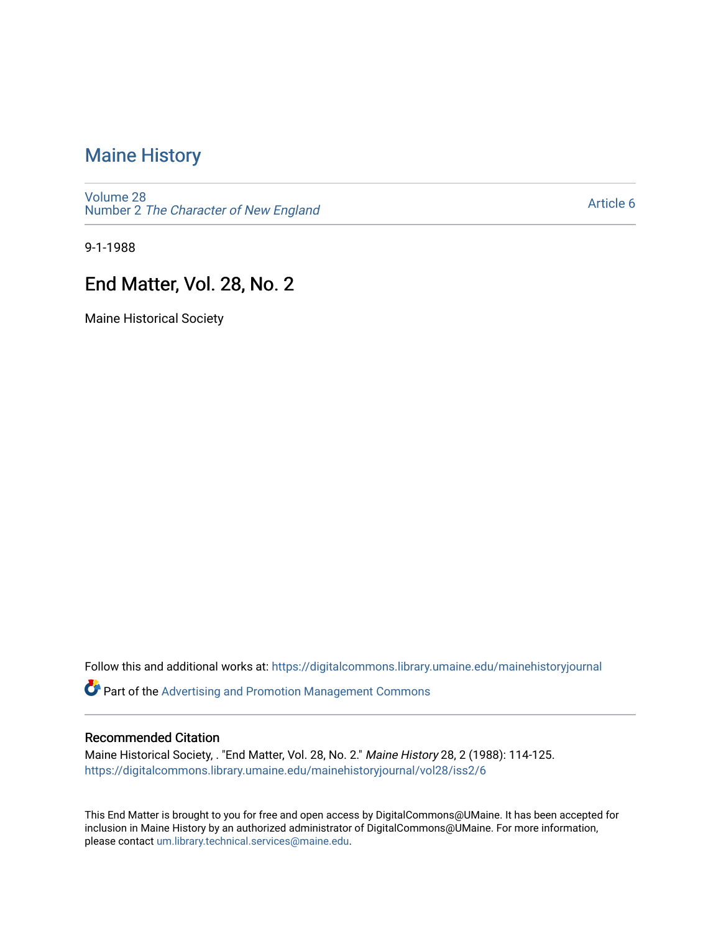#### [Maine History](https://digitalcommons.library.umaine.edu/mainehistoryjournal)

[Volume 28](https://digitalcommons.library.umaine.edu/mainehistoryjournal/vol28) Number 2 [The Character of New England](https://digitalcommons.library.umaine.edu/mainehistoryjournal/vol28/iss2)

[Article 6](https://digitalcommons.library.umaine.edu/mainehistoryjournal/vol28/iss2/6) 

9-1-1988

#### End Matter, Vol. 28, No. 2

Maine Historical Society

Follow this and additional works at: [https://digitalcommons.library.umaine.edu/mainehistoryjournal](https://digitalcommons.library.umaine.edu/mainehistoryjournal?utm_source=digitalcommons.library.umaine.edu%2Fmainehistoryjournal%2Fvol28%2Fiss2%2F6&utm_medium=PDF&utm_campaign=PDFCoverPages) 

**Part of the Advertising and Promotion Management Commons** 

#### Recommended Citation

Maine Historical Society, . "End Matter, Vol. 28, No. 2." Maine History 28, 2 (1988): 114-125. [https://digitalcommons.library.umaine.edu/mainehistoryjournal/vol28/iss2/6](https://digitalcommons.library.umaine.edu/mainehistoryjournal/vol28/iss2/6?utm_source=digitalcommons.library.umaine.edu%2Fmainehistoryjournal%2Fvol28%2Fiss2%2F6&utm_medium=PDF&utm_campaign=PDFCoverPages)

This End Matter is brought to you for free and open access by DigitalCommons@UMaine. It has been accepted for inclusion in Maine History by an authorized administrator of DigitalCommons@UMaine. For more information, please contact [um.library.technical.services@maine.edu.](mailto:um.library.technical.services@maine.edu)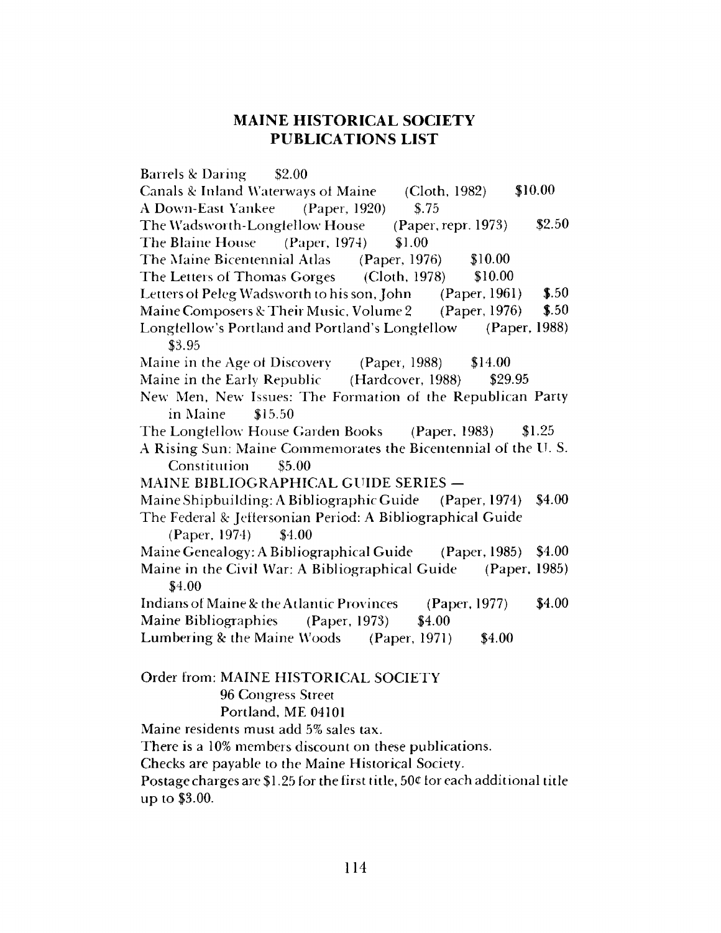#### **MAINE HISTORICAL SOCIETY PUBLICATIONS LIST**

Barrels *Sc* Daring \$2.00 **Canals & Inland Waterways of Maine** A Down-East Yankee (Paper, 1920) The Wadsworth-Longfellow House The Blaine House (Paper, 1974) (Cloth, 1982) \$.75 (Paper, repr. 1973) \$1.00 \$10.00 \$2.50 The Maine Bicentennial Atlas (Paper, 1976) \$10.00 The Letters of Thomas Gorges (Cloth, 1978) \$10.00 Letters of Peleg Wadsworth to his son, John (Paper, 1961) Maine Composers & Their Music, Volume 2 (Paper, 1976) \$.50 \$.50 Longfellow's Portland and Portland's Longfellow (Paper, 1988) \$3.95 Maine in the Age of Discovery (Paper, 1988) \$14.00 Maine in the Early Republic (Hardcover, 1988) \$29.95 New Men, New Issues: The Formation of the Republican Party in Maine \$15.50 The Longfellow House Garden Books (Paper, 1983) \$1.25 A Rising Sun: Maine Commemorates the Bicentennial of the U. S. Constitution \$5.00 MAINE BIBLIOGRAPHICAL GUIDE SERIES — Maine Shipbuilding: A Bibliographic Guide (Paper, 1974) \$4.00 The Federal *Sc* Jeffersonian Period: A Bibliographical Guide (Paper, 1974) \$4.00 Maine Genealogy: A Bibliographical Guide (Paper, 1985) \$4.00 Maine in the Civil War: A Bibliographical Guide (Paper, 1985) \$4.00 Indians of Maine & the Atlantic Provinces (Paper, 1977) \$4.00 Maine Bibliographies (Paper, 1973) \$4.00 Lumbering & the Maine Woods (Paper, 1971) \$4.00 Order from: MAINE HISTORICAL SOCIETY 96 Congress Street Portland, ME 04101 Maine residents must add 5% sales tax.

There is a 10% members discount on these publications.

Checks are payable to the Maine Historical Society.

Postage charges are \$1.25 for the first title, 50 $\epsilon$  for each additional title up to \$3.00.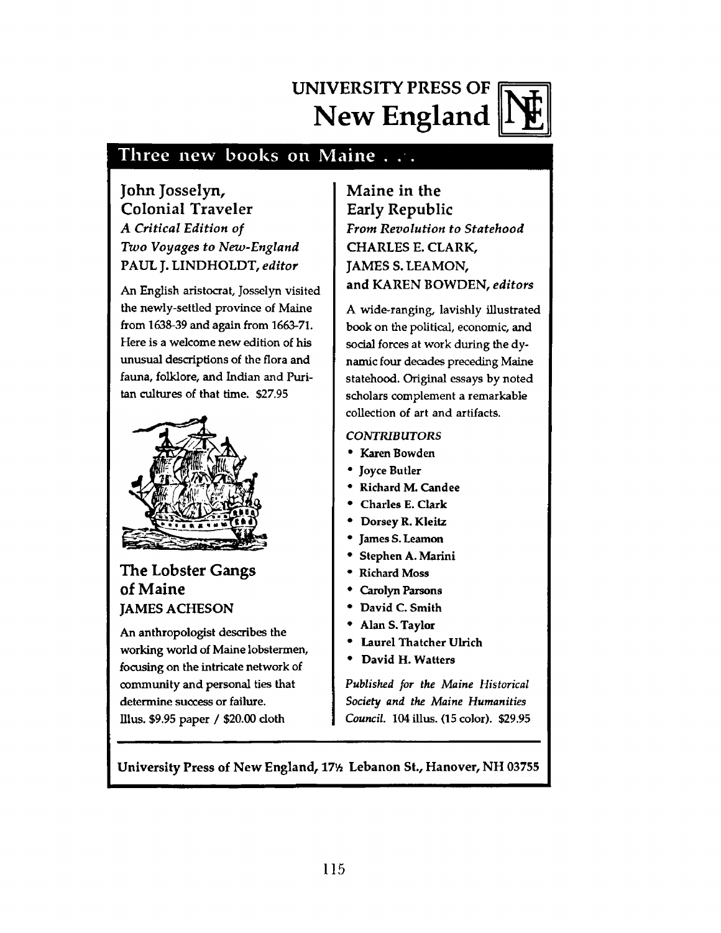## **UNIVERSITY PRESS OF New England**



#### Three new books on Maine . . .

#### **John Josselyn, Colonial Traveler** *A Critical Edition of Two Voyages to New-England* **PAUL J. LINDHOLDT,** *editor*

An English aristocrat, Josselyn visited **the newly-settled province of Maine from 1638-39 and again from 1663-71. Here is a welcome new edition of his unusual descriptions of the flora and fauna, folklore, and Indian and Puritan cultures of that time. \$27.95**



#### **The Lobster Gangs of Maine JAMES ACHESON**

**An anthropologist describes the working world of Maine lobstermen, focusing on the intricate network of community and personal ties that determine success or failure. Illus. \$9.95 paper / \$20.00 cloth**

**Maine in the Early Republic** *From Revolution to Statehood* **CHARLES E. CLARK, JAMES S.LEAMON, and KAREN BOWDEN,** *editors*

*A* wide-ranging, lavishly illustrated book on the political, economic, and social forces at work during the dynamic four decades preceding Maine statehood. Original essays by noted scholars complement a remarkable collection of art and artifacts.

#### *CONTRIBUTORS*

- **Karen Bowden**
- **Joyce Butler**
- **Richard M. Can dee**
- **Charles E. Clark**
- **Dorsey R. Kleitz**
- **James S. Leamon**
- **Stephen A. Marini**
- **Richard Moss**
- **Carolyn Parsons**
- **David C. Smith**
- **Alan S. Taylor**
- **Laurel Thatcher Ulrich**
- **David H. Watters**

*Published for the Maine Historical Society and the Maine Humanities Council.* **104 illus. (15 color). \$29.95**

University Press of New England, 17<sup>%</sup> Lebanon St., Hanover, NH 03755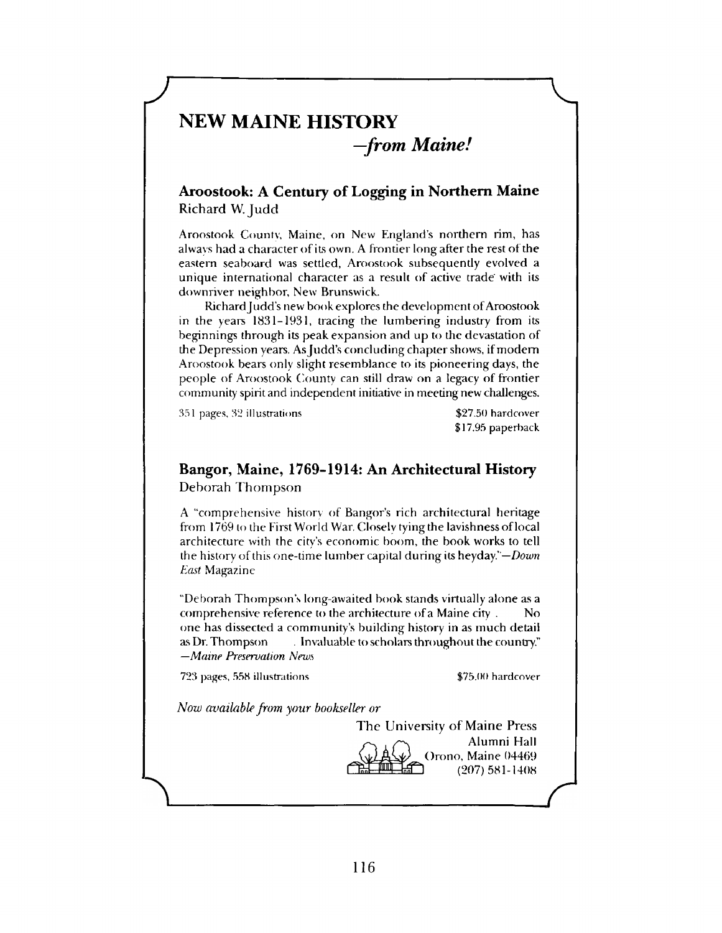#### **NEW MAINE HISTORY**

*—from Maine!*

#### **Aroostook: A Century of Logging in Northern Maine** Richard W. Judd

*<sup>J</sup>* --------------------------

Aroostook County, Maine, on New England's northern rim, has always had a character of its own. A frontier long after the rest of the eastern seaboard was settled, Aroostook subsequently evolved a unique international character as a result of active trade with its downriver neighbor, New Brunswick.

Richard Judd's new book explores the development of Aroostook in the years 1831-1931, tracing the lumbering industry from its beginnings through its peak expansion and up to the devastation of the Depression years. As Judd's concluding chapter shows, if modem Aroostook bears only slight resemblance to its pioneering days, the people of Aroostook County can still draw on a legacy of frontier community spirit and independent initiative in meeting new challenges.

351 pages, 32 illustrations  $$27.50$  hardcover

\$17.95 paperback

#### **Bangor, Maine, 1769-1914: An Architectural History** Deborah Thompson

A "comprehensive history of Bangor's rich architectural heritage from 1769 to the First World War. Closely tying the lavishness of local architecture with the city's economic boom, the book works to tell the history of this one-time lumber capital during its heyday *' —Down East* Magazine

"Deborah Thompson's long-awaited book stands virtually alone as a comprehensive reference to the architecture of a Maine city . No one has dissected a community's building history in as much detail as Dr. Thompson . Invaluable to scholars throughout the country." *—Maine Preservation News*

723 pages, 558 illustrations  $$75.00$  hardcover

*Now available from your bookseller or*

The University of Maine Press Alumni Hall Orono, Maine 04469 (207) 581-1408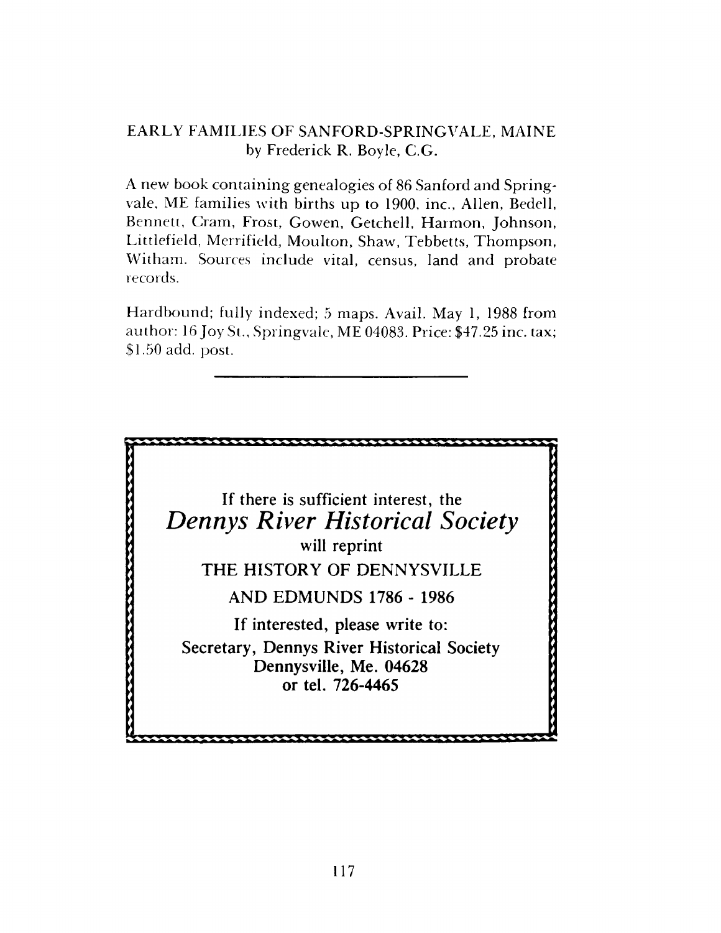#### EARLY FAMILIES OF SANFORD-SPRINGVALE, MAINE by Frederick R. Boyle, C.G.

A new book containing genealogies of 86 Sanford and Springvale, ME families with births up to 1900, inc., Allen, Bedell, Bennett, Cram, Frost, Gowen, Getchell, Harmon, Johnson, Littlefield, Merrifield, Moulton, Shaw, Tebbetts, Thompson, Witham. Sources include vital, census, land and probate records.

Hardbound; fully indexed; 5 maps. Avail. May 1, 1988 from author: 16 Joy St., Springvale, ME 04083. Price: \$47.25 inc. tax; \$1.50 add. post.

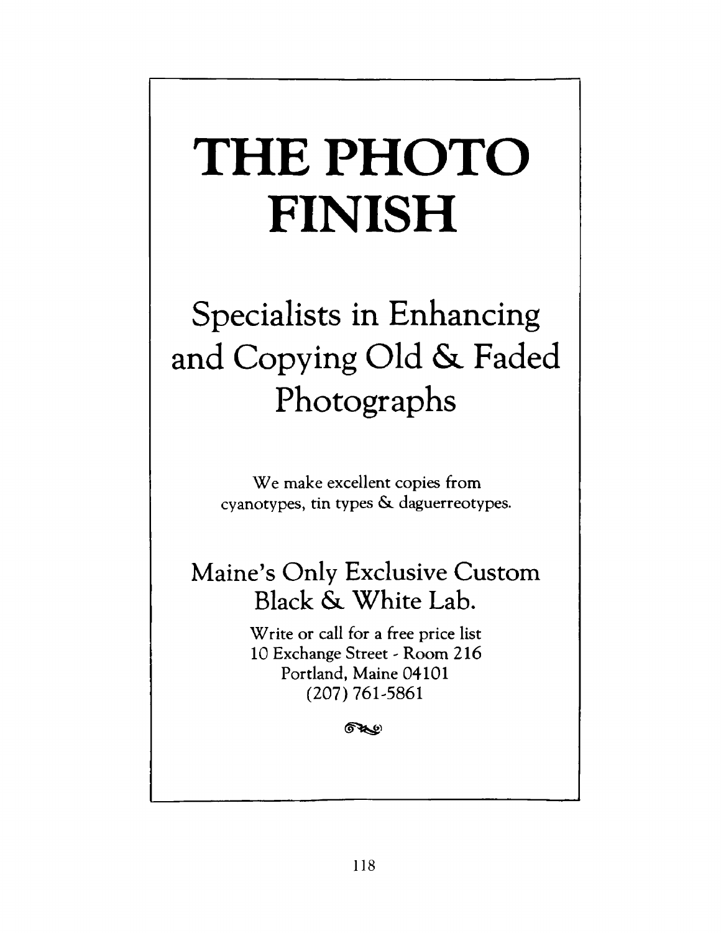# **THE PHOTO FINISH**

# **Specialists in Enhancing and Copying Old &. Faded Photographs**

We make excellent copies from cyanotypes, tin types & daguerreotypes.

### **Maine's Only Exclusive Custom Black & White Lab.**

Write or call for a free price list 10 Exchange Street - Room 216 Portland, Maine 04101 (207) 761-5861

குை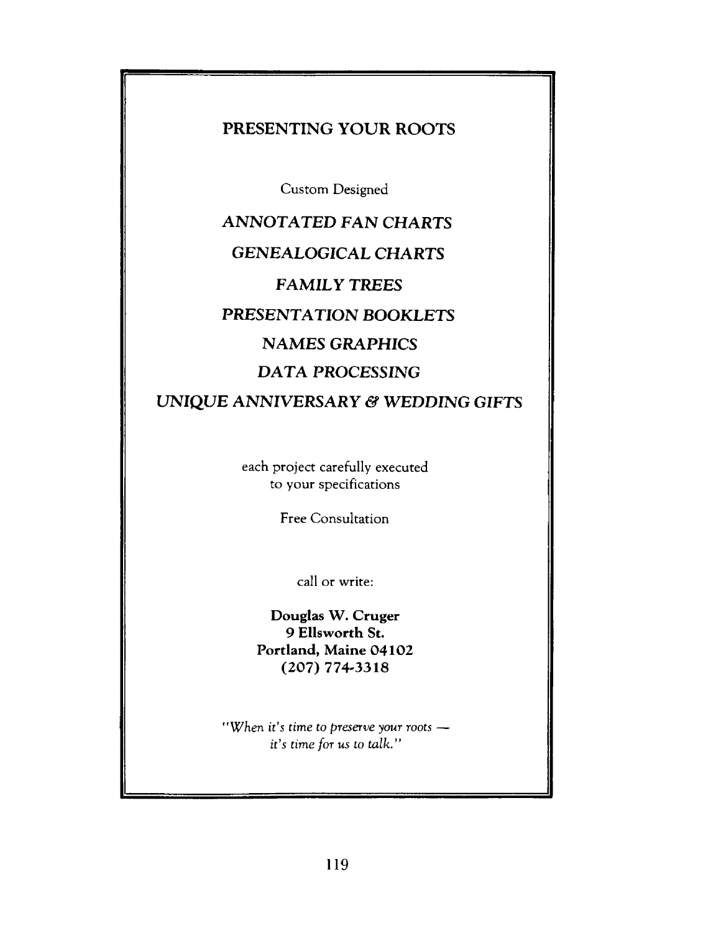#### **PRESENTING YOUR ROOTS**

Custom Designed

**ANNOTATED FAN CHARTS GENEALOGICAL CHARTS FAMILY TREES PRESENTATION BOOKLETS NAMES GRAPHICS DATA** *PROCESSING* **UNIQUE ANNIVERSARY & WEDDING GIFTS** 

> each project carefully executed to your specifications

> > Free Consultation

call or write:

**Douglas W. Cruger 9 Ellsworth St. Portland, Maine 04102 (207) 774-3318**

*"When* it's time to *preserve your roots* it's time *for us to talk."*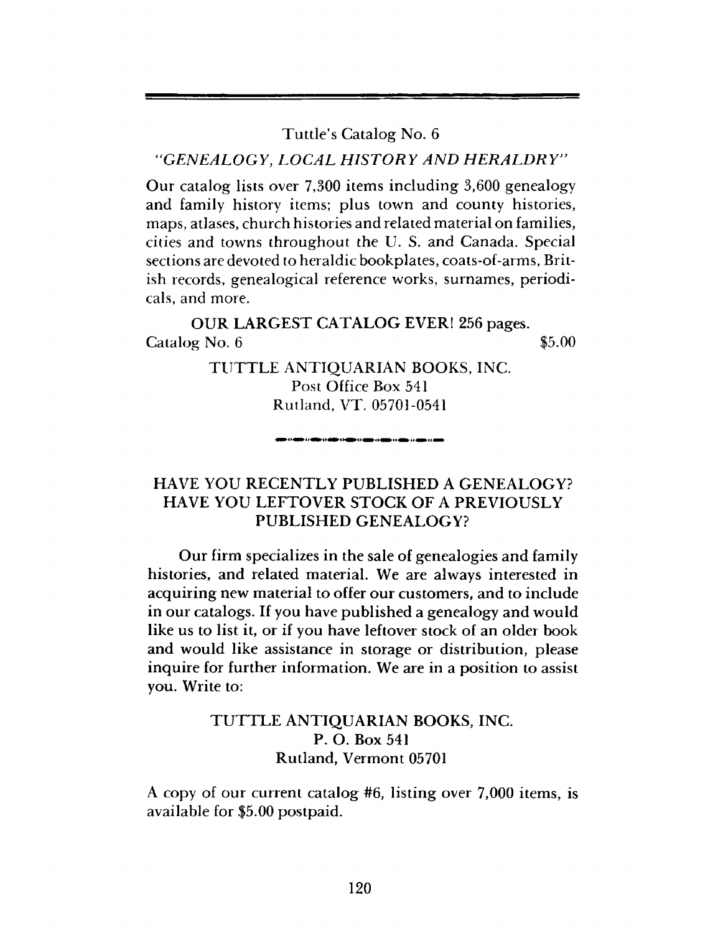Tuttle's Catalog No. 6

"GENEALOGY, LOCAL HISTORY AND HERALDRY"

Our catalog lists over 7,300 items including 3,600 genealogy and family history items; plus town and county histories, maps, atlases, church histories and related material on families, cities and towns throughout the U. S. and Canada. Special sections are devoted to heraldic bookplates, coats-of-arms, British records, genealogical reference works, surnames, periodicals, and more.

OUR LARGEST CATALOG EVER! 256 pages.  $\alpha$  Catalog No. 6  $\qquad$  \$5.00

> TUTTLE ANTIQUARIAN BOOKS, INC. Post Office Box 541 Rutland, VT. 05701-0541

> > .<br>I **die valle valle valle van** va**lle** van

#### HAVE YOU RECENTLY PUBLISHED A GENEALOGY? HAVE YOU LEFTOVER STOCK OF A PREVIOUSLY PUBLISHED GENEALOGY?

Our firm specializes in the sale of genealogies and family histories, and related material. We are always interested in acquiring new material to offer our customers, and to include in our catalogs. If you have published a genealogy and would like us to list it, or if you have leftover stock of an older book and would like assistance in storage or distribution, please inquire for further information. We are in a position to assist you. Write to:

#### TUTTLE ANTIQUARIAN BOOKS, INC. P. O. Box 541 Rutland, Vermont 05701

A copy of our current catalog #6, listing over 7,000 items, is available for \$5.00 postpaid.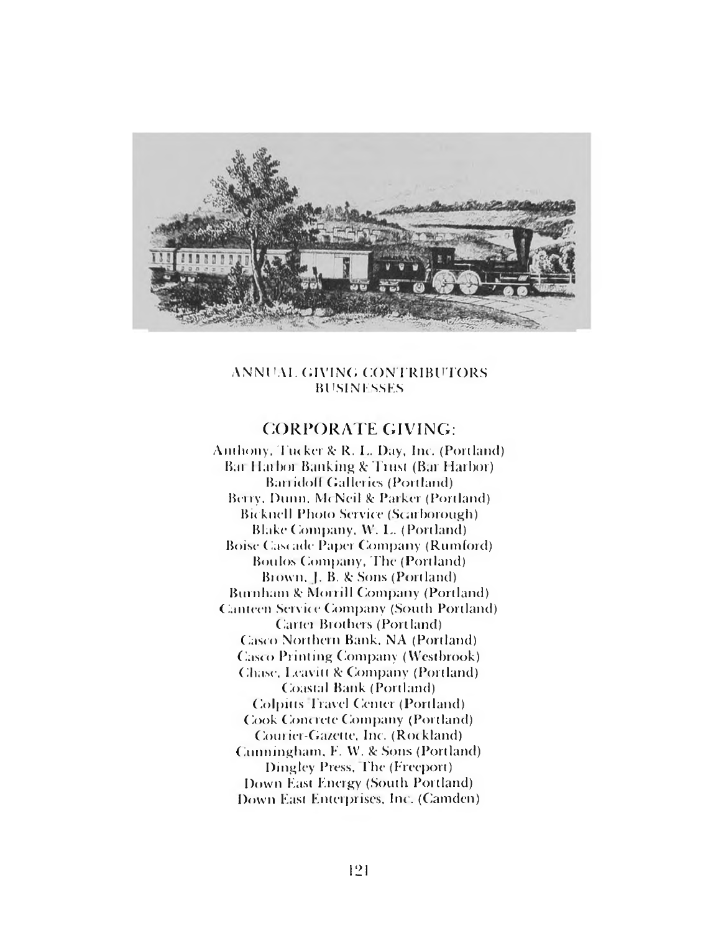

#### ANNUAL GIVING CONTRIBUTORS **BUSINESSES**

#### CORPORATE GIVING:

Anthony. Tucker & R. L. Day. Inc. (Portland) Bai Harhoi Banking & Trust (Bar Harbor) Ban idol! Galleries (Portland) Berry, Dunn. M< Neil *Sc* Parker (Portland) Bicknell Photo Service (Scarborough) Blake Company, W. L. (Portland) Boise Cascade Paper Company (Rumford) Boulos Company, The (Portland) Brown, J. B. *Sc* Sons (Portland) Burnham *Sc* Morrill Company (Portland) Canteen Service Company (South Portland) Carter Brothers (Portland) Casco Northern Bank. NA (Portland) Casco Printing Company (Westbrook) Chase. Leavitt & Company (Portland) Coastal Bank (Portland) Colpitis Travel Center (Portland) Cook Concrete Company (Portland) Courier-Gazette, Inc. (Rockland) Cunningham . F. YV. *Sc* Sons (Portland) Dingley Press, The (Freeport) Down East Energy (South Portland) Down East Enterprises. Inc. (Camden)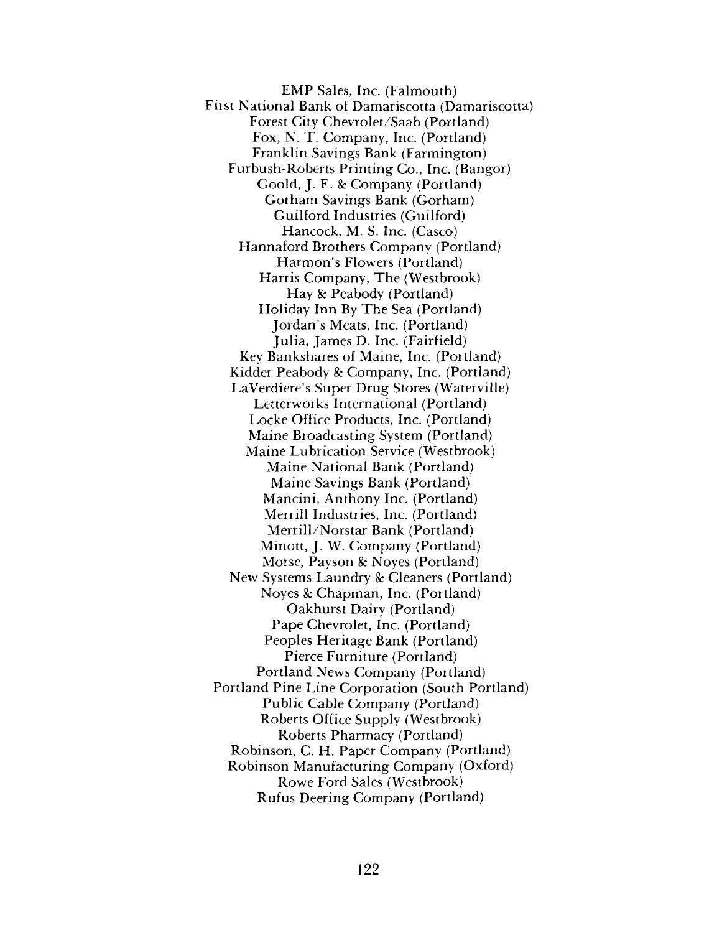EMP Sales, Inc. (Falmouth) First National Bank of Damariscotta (Damariscotta) Forest City Chevrolet/Saab (Portland) Fox, N. T. Company, Inc. (Portland) Franklin Savings Bank (Farmington) Furbush-Roberts Printing Co., Inc. (Bangor) Goold, J. E. & Company (Portland) Gorham Savings Bank (Gorham) Guilford Industries (Guilford) Hancock, M. S. Inc. (Casco) Hannaford Brothers Company (Portland) Harmon's Flowers (Portland) Harris Company, The (Westbrook) Hay *8c* Peabody (Portland) Holiday Inn By The Sea (Portland) Jordan's Meats, Inc. (Portland) Julia, James D. Inc. (Fairfield) Key Bankshares of Maine, Inc. (Portland) Kidder Peabody & Company, Inc. (Portland) LaVerdiere's Super Drug Stores (Waterville) Letterworks International (Portland) Locke Office Products, Inc. (Portland) Maine Broadcasting System (Portland) Maine Lubrication Service (Westbrook) Maine National Bank (Portland) Maine Savings Bank (Portland) Mancini, Anthony Inc. (Portland) Merrill Industries, Inc. (Portland) Merrill/Norstar Bank (Portland) Minott, J. W. Company (Portland) Morse, Payson & Noves (Portland) New Systems Laundry & Cleaners (Portland) Noyes 8c Chapman, Inc. (Portland) Oakhurst Dairy (Portland) Pape Chevrolet, Inc. (Portland) Peoples Heritage Bank (Portland) Pierce Furniture (Portland) Portland News Company (Portland) Portland Pine Line Corporation (South Portland) Public Cable Company (Portland) Roberts Office Supply (Westbrook) Roberts Pharmacy (Portland) Robinson, C. H. Paper Company (Portland) Robinson Manufacturing Company (Oxford) Rowe Ford Sales (Westbrook) Rufus Deering Company (Portland)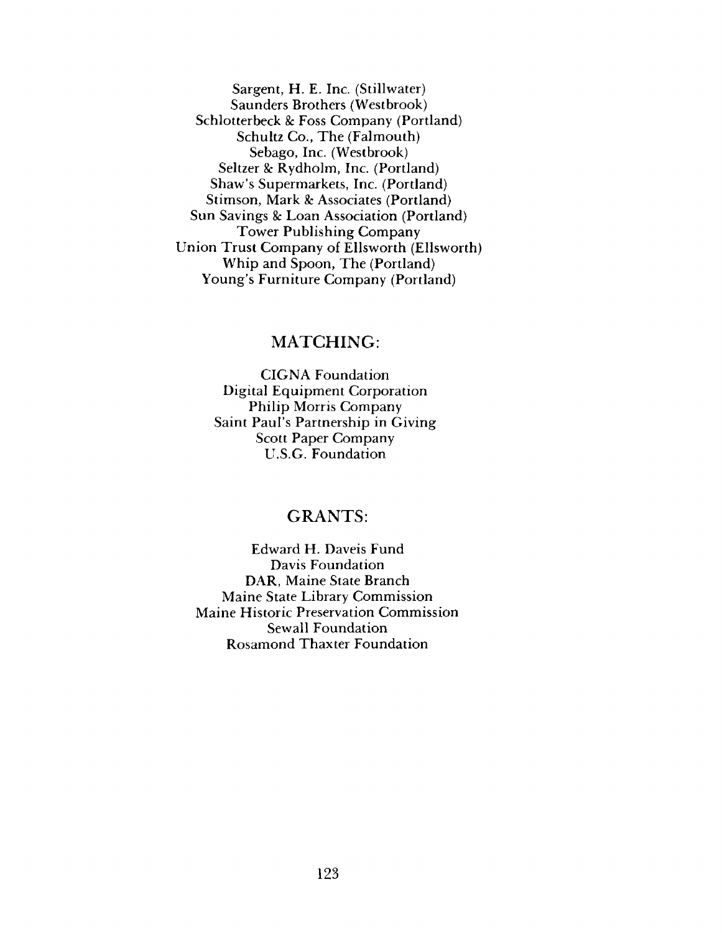Sargent, H. E. Inc. (Stillwater) Saunders Brothers (Westbrook) Schlotterbeck & Foss Company (Portland) Schultz Co., The (Falmouth) Sebago, Inc. (Westbrook) Seltzer & Rydholm, Inc. (Portland) Shaw's Supermarkets, Inc. (Portland) Stimson, Mark & Associates (Portland) Sun Savings & Loan Association (Portland) Tower Publishing Company Union Trust Company of Ellsworth (Ellsworth) Whip and Spoon, The (Portland) Young's Furniture Company (Portland)

#### MATCHING:

CIGNA Foundation Digital Equipment Corporation Philip Morris Company Saint Paul's Partnership in Giving Scott Paper Company U.S.G. Foundation

#### GRANTS:

Edward H. Daveis Fund Davis Foundation DAR, Maine State Branch Maine State Library Commission Maine Historic Preservation Commission Sewall Foundation Rosamond Thaxter Foundation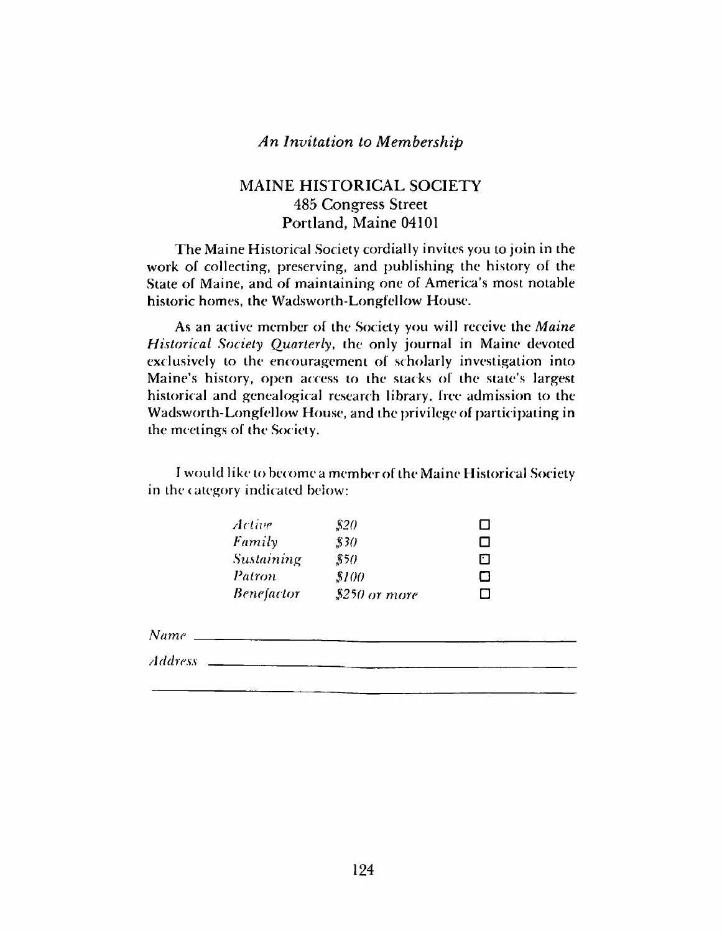#### *An Invitation to Membership*

#### MAINE HISTORICAL SOCIETY 485 Congress Street Portland, Maine 04101

The Maine Historical Society cordially invites you to join in the work of collecting, preserving, and publishing the history of the State of Maine, and of maintaining one of America's most notable historic homes, the Wadsworth-Longfellow House.

As an active member of the Society you will receive the *Maine Historical Society Quarterly*, the only journal in Maine devoted exclusively to the encouragement of scholarly investigation into Maine's history, open access to the stacks of the state's largest historical and genealogical research library, free admission to the Wadsworth-Longfellow House, and the privilege of participating in the meetings of the Society.

I would like to become a mem her of the Maine Historical Society in the category indicated below:

| Active            | \$20           |   |
|-------------------|----------------|---|
| Family            | \$30           | П |
| Sustaining        | 850            | П |
| Patron            | \$100          | O |
| <i>Benefactor</i> | $$250$ or more |   |
|                   |                |   |

*Name* \_

*Address*